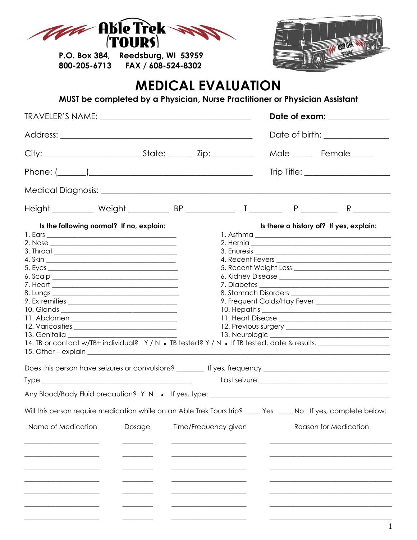

P.O. Box 384, Reedsburg, WI 53959 FAX / 608-524-8302 800-205-6713



## **MEDICAL EVALUATION**

MUST be completed by a Physician, Nurse Practitioner or Physician Assistant

|                                                                                                                                      | Date of exam: _______________ |                      |  |  |                                         |
|--------------------------------------------------------------------------------------------------------------------------------------|-------------------------------|----------------------|--|--|-----------------------------------------|
|                                                                                                                                      |                               |                      |  |  |                                         |
|                                                                                                                                      |                               |                      |  |  | Male _____ Female _____                 |
|                                                                                                                                      |                               |                      |  |  |                                         |
|                                                                                                                                      |                               |                      |  |  |                                         |
|                                                                                                                                      |                               |                      |  |  |                                         |
| Is the following normal? If no, explain:<br>14. TB or contact w/TB+ individual? Y/N . TB tested? Y/N . If TB tested, date & results. |                               |                      |  |  | Is there a history of? If yes, explain: |
|                                                                                                                                      |                               |                      |  |  |                                         |
|                                                                                                                                      |                               |                      |  |  |                                         |
| Will this person require medication while on an Able Trek Tours trip? ____ Yes ____ No If yes, complete below:<br>Name of Medication | Dosage                        | Time/Frequency given |  |  | <b>Reason for Medication</b>            |
|                                                                                                                                      |                               |                      |  |  |                                         |
|                                                                                                                                      |                               |                      |  |  |                                         |
|                                                                                                                                      |                               |                      |  |  |                                         |
|                                                                                                                                      |                               |                      |  |  |                                         |
|                                                                                                                                      |                               |                      |  |  |                                         |